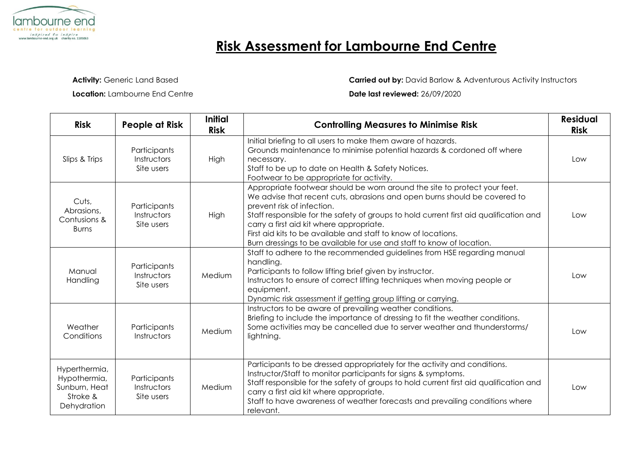

## **Risk Assessment for Lambourne End Centre**

**Activity:** Generic Land Based

**Location:** Lambourne End Centre

**Carried out by:** David Barlow & Adventurous Activity Instructors

## **Date last reviewed:** 26/09/2020

| <b>Risk</b>                                                               | People at Risk                            | <b>Initial</b><br><b>Risk</b> | <b>Controlling Measures to Minimise Risk</b>                                                                                                                                                                                                                                                                                                                                                                                                                          | <b>Residual</b><br><b>Risk</b> |
|---------------------------------------------------------------------------|-------------------------------------------|-------------------------------|-----------------------------------------------------------------------------------------------------------------------------------------------------------------------------------------------------------------------------------------------------------------------------------------------------------------------------------------------------------------------------------------------------------------------------------------------------------------------|--------------------------------|
| Slips & Trips                                                             | Participants<br>Instructors<br>Site users | High                          | Initial briefing to all users to make them aware of hazards.<br>Grounds maintenance to minimise potential hazards & cordoned off where<br>necessary.<br>Staff to be up to date on Health & Safety Notices.<br>Footwear to be appropriate for activity.                                                                                                                                                                                                                | Low                            |
| Cuts,<br>Abrasions,<br>Contusions &<br><b>Burns</b>                       | Participants<br>Instructors<br>Site users | High                          | Appropriate footwear should be worn around the site to protect your feet.<br>We advise that recent cuts, abrasions and open burns should be covered to<br>prevent risk of infection.<br>Staff responsible for the safety of groups to hold current first aid qualification and<br>carry a first aid kit where appropriate.<br>First aid kits to be available and staff to know of locations.<br>Burn dressings to be available for use and staff to know of location. | Low                            |
| Manual<br>Handling                                                        | Participants<br>Instructors<br>Site users | Medium                        | Staff to adhere to the recommended guidelines from HSE regarding manual<br>handling.<br>Participants to follow lifting brief given by instructor.<br>Instructors to ensure of correct lifting techniques when moving people or<br>equipment.<br>Dynamic risk assessment if getting group lifting or carrying.                                                                                                                                                         | Low                            |
| Weather<br>Conditions                                                     | Participants<br>Instructors               | Medium                        | Instructors to be aware of prevailing weather conditions.<br>Briefing to include the importance of dressing to fit the weather conditions.<br>Some activities may be cancelled due to server weather and thunderstorms/<br>lightning.                                                                                                                                                                                                                                 | Low                            |
| Hyperthermia,<br>Hypothermia,<br>Sunburn, Heat<br>Stroke &<br>Dehydration | Participants<br>Instructors<br>Site users | Medium                        | Participants to be dressed appropriately for the activity and conditions.<br>Instructor/Staff to monitor participants for signs & symptoms.<br>Staff responsible for the safety of groups to hold current first aid qualification and<br>carry a first aid kit where appropriate.<br>Staff to have awareness of weather forecasts and prevailing conditions where<br>relevant.                                                                                        | Low                            |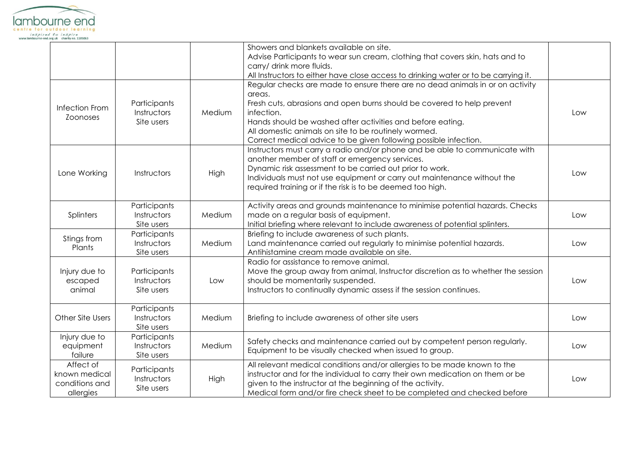

|                                                           |                                           |        | Showers and blankets available on site.<br>Advise Participants to wear sun cream, clothing that covers skin, hats and to<br>carry/ drink more fluids.<br>All Instructors to either have close access to drinking water or to be carrying it.                                                                                                                              |     |
|-----------------------------------------------------------|-------------------------------------------|--------|---------------------------------------------------------------------------------------------------------------------------------------------------------------------------------------------------------------------------------------------------------------------------------------------------------------------------------------------------------------------------|-----|
| Infection From<br><b>Zoonoses</b>                         | Participants<br>Instructors<br>Site users | Medium | Regular checks are made to ensure there are no dead animals in or on activity<br>areas.<br>Fresh cuts, abrasions and open burns should be covered to help prevent<br>infection.<br>Hands should be washed after activities and before eating.<br>All domestic animals on site to be routinely wormed.<br>Correct medical advice to be given following possible infection. | Low |
| Lone Working                                              | Instructors                               | High   | Instructors must carry a radio and/or phone and be able to communicate with<br>another member of staff or emergency services.<br>Dynamic risk assessment to be carried out prior to work.<br>Individuals must not use equipment or carry out maintenance without the<br>required training or if the risk is to be deemed too high.                                        | Low |
| Splinters                                                 | Participants<br>Instructors<br>Site users | Medium | Activity areas and grounds maintenance to minimise potential hazards. Checks<br>made on a regular basis of equipment.<br>Initial briefing where relevant to include awareness of potential splinters.                                                                                                                                                                     | Low |
| Stings from<br>Plants                                     | Participants<br>Instructors<br>Site users | Medium | Briefing to include awareness of such plants.<br>Land maintenance carried out regularly to minimise potential hazards.<br>Antihistamine cream made available on site.                                                                                                                                                                                                     | Low |
| Injury due to<br>escaped<br>animal                        | Participants<br>Instructors<br>Site users | Low    | Radio for assistance to remove animal.<br>Move the group away from animal, Instructor discretion as to whether the session<br>should be momentarily suspended.<br>Instructors to continually dynamic assess if the session continues.                                                                                                                                     | Low |
| Other Site Users                                          | Participants<br>Instructors<br>Site users | Medium | Briefing to include awareness of other site users                                                                                                                                                                                                                                                                                                                         | Low |
| Injury due to<br>equipment<br>failure                     | Participants<br>Instructors<br>Site users | Medium | Safety checks and maintenance carried out by competent person regularly.<br>Equipment to be visually checked when issued to group.                                                                                                                                                                                                                                        | Low |
| Affect of<br>known medical<br>conditions and<br>allergies | Participants<br>Instructors<br>Site users | High   | All relevant medical conditions and/or allergies to be made known to the<br>instructor and for the individual to carry their own medication on them or be<br>given to the instructor at the beginning of the activity.<br>Medical form and/or fire check sheet to be completed and checked before                                                                         | Low |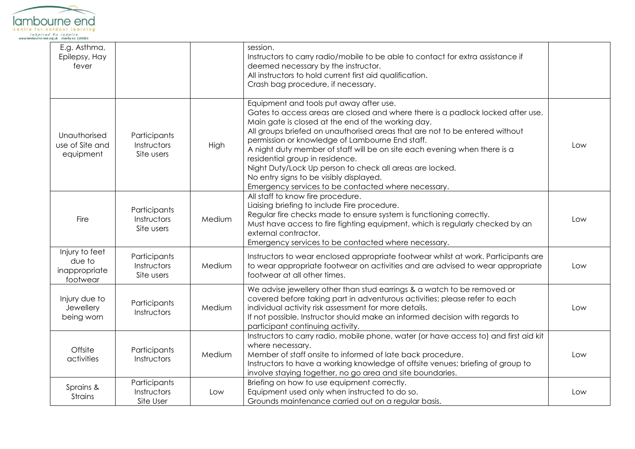

| E.g. Asthma,<br>Epilepsy, Hay<br>fever                |                                           |        | session.<br>Instructors to carry radio/mobile to be able to contact for extra assistance if<br>deemed necessary by the instructor.<br>All instructors to hold current first aid qualification.<br>Crash bag procedure, if necessary.                                                                                                                                                                                                                                                                                                                                                             |     |
|-------------------------------------------------------|-------------------------------------------|--------|--------------------------------------------------------------------------------------------------------------------------------------------------------------------------------------------------------------------------------------------------------------------------------------------------------------------------------------------------------------------------------------------------------------------------------------------------------------------------------------------------------------------------------------------------------------------------------------------------|-----|
| Unauthorised<br>use of Site and<br>equipment          | Participants<br>Instructors<br>Site users | High   | Equipment and tools put away after use.<br>Gates to access areas are closed and where there is a padlock locked after use.<br>Main gate is closed at the end of the working day.<br>All groups briefed on unauthorised areas that are not to be entered without<br>permission or knowledge of Lambourne End staff.<br>A night duty member of staff will be on site each evening when there is a<br>residential group in residence.<br>Night Duty/Lock Up person to check all areas are locked.<br>No entry signs to be visibly displayed.<br>Emergency services to be contacted where necessary. | Low |
| Fire                                                  | Participants<br>Instructors<br>Site users | Medium | All staff to know fire procedure.<br>Liaising briefing to include Fire procedure.<br>Regular fire checks made to ensure system is functioning correctly.<br>Must have access to fire fighting equipment, which is regularly checked by an<br>external contractor.<br>Emergency services to be contacted where necessary.                                                                                                                                                                                                                                                                         | Low |
| Injury to feet<br>due to<br>inappropriate<br>footwear | Participants<br>Instructors<br>Site users | Medium | Instructors to wear enclosed appropriate footwear whilst at work. Participants are<br>to wear appropriate footwear on activities and are advised to wear appropriate<br>footwear at all other times.                                                                                                                                                                                                                                                                                                                                                                                             | Low |
| Injury due to<br>Jewellery<br>being worn              | Participants<br>Instructors               | Medium | We advise jewellery other than stud earrings & a watch to be removed or<br>covered before taking part in adventurous activities; please refer to each<br>individual activity risk assessment for more details.<br>If not possible, Instructor should make an informed decision with regards to<br>participant continuing activity.                                                                                                                                                                                                                                                               | Low |
| Offsite<br>activities                                 | Participants<br>Instructors               | Medium | Instructors to carry radio, mobile phone, water (or have access to) and first aid kit<br>where necessary.<br>Member of staff onsite to informed of late back procedure.<br>Instructors to have a working knowledge of offsite venues; briefing of group to<br>involve staying together, no go area and site boundaries.                                                                                                                                                                                                                                                                          | Low |
| Sprains &<br><b>Strains</b>                           | Participants<br>Instructors<br>Site User  | Low    | Briefing on how to use equipment correctly.<br>Equipment used only when instructed to do so.<br>Grounds maintenance carried out on a regular basis.                                                                                                                                                                                                                                                                                                                                                                                                                                              | Low |